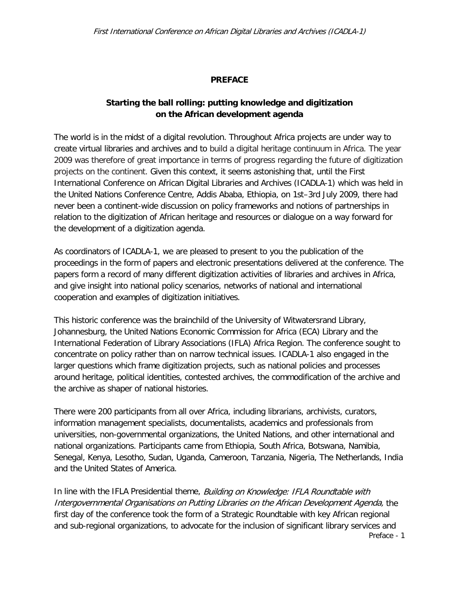## **PREFACE**

# **Starting the ball rolling: putting knowledge and digitization on the African development agenda**

The world is in the midst of a digital revolution. Throughout Africa projects are under way to create virtual libraries and archives and to build a digital heritage continuum in Africa. The year 2009 was therefore of great importance in terms of progress regarding the future of digitization projects on the continent. Given this context, it seems astonishing that, until the First International Conference on African Digital Libraries and Archives (ICADLA-1) which was held in the United Nations Conference Centre, Addis Ababa, Ethiopia, on 1st–3rd July 2009, there had never been a continent-wide discussion on policy frameworks and notions of partnerships in relation to the digitization of African heritage and resources or dialogue on a way forward for the development of a digitization agenda.

As coordinators of ICADLA-1, we are pleased to present to you the publication of the proceedings in the form of papers and electronic presentations delivered at the conference. The papers form a record of many different digitization activities of libraries and archives in Africa, and give insight into national policy scenarios, networks of national and international cooperation and examples of digitization initiatives.

This historic conference was the brainchild of the University of Witwatersrand Library, Johannesburg, the United Nations Economic Commission for Africa (ECA) Library and the International Federation of Library Associations (IFLA) Africa Region. The conference sought to concentrate on policy rather than on narrow technical issues. ICADLA-1 also engaged in the larger questions which frame digitization projects, such as national policies and processes around heritage, political identities, contested archives, the commodification of the archive and the archive as shaper of national histories.

There were 200 participants from all over Africa, including librarians, archivists, curators, information management specialists, documentalists, academics and professionals from universities, non-governmental organizations, the United Nations, and other international and national organizations. Participants came from Ethiopia, South Africa, Botswana, Namibia, Senegal, Kenya, Lesotho, Sudan, Uganda, Cameroon, Tanzania, Nigeria, The Netherlands, India and the United States of America.

In line with the IFLA Presidential theme, Building on Knowledge: IFLA Roundtable with Intergovernmental Organisations on Putting Libraries on the African Development Agenda, the first day of the conference took the form of a Strategic Roundtable with key African regional and sub-regional organizations, to advocate for the inclusion of significant library services and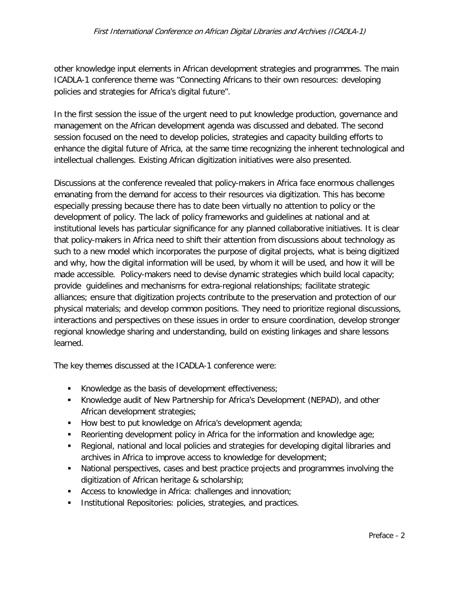#### First International Conference on African Digital Libraries and Archives (ICADLA-1)

other knowledge input elements in African development strategies and programmes. The main ICADLA-1 conference theme was "Connecting Africans to their own resources: developing policies and strategies for Africa's digital future".

In the first session the issue of the urgent need to put knowledge production, governance and management on the African development agenda was discussed and debated. The second session focused on the need to develop policies, strategies and capacity building efforts to enhance the digital future of Africa, at the same time recognizing the inherent technological and intellectual challenges. Existing African digitization initiatives were also presented.

Discussions at the conference revealed that policy-makers in Africa face enormous challenges emanating from the demand for access to their resources via digitization. This has become especially pressing because there has to date been virtually no attention to policy or the development of policy. The lack of policy frameworks and guidelines at national and at institutional levels has particular significance for any planned collaborative initiatives. It is clear that policy-makers in Africa need to shift their attention from discussions about technology as such to a new model which incorporates the purpose of digital projects, what is being digitized and why, how the digital information will be used, by whom it will be used, and how it will be made accessible. Policy-makers need to devise dynamic strategies which build local capacity; provide guidelines and mechanisms for extra-regional relationships; facilitate strategic alliances; ensure that digitization projects contribute to the preservation and protection of our physical materials; and develop common positions. They need to prioritize regional discussions, interactions and perspectives on these issues in order to ensure coordination, develop stronger regional knowledge sharing and understanding, build on existing linkages and share lessons learned.

The key themes discussed at the ICADLA-1 conference were:

- Knowledge as the basis of development effectiveness;
- Knowledge audit of New Partnership for Africa's Development (NEPAD), and other African development strategies;
- $\blacksquare$  How best to put knowledge on Africa's development agenda;
- Reorienting development policy in Africa for the information and knowledge age;
- Regional, national and local policies and strategies for developing digital libraries and archives in Africa to improve access to knowledge for development;
- National perspectives, cases and best practice projects and programmes involving the digitization of African heritage & scholarship;
- **Access to knowledge in Africa: challenges and innovation;**
- Institutional Repositories: policies, strategies, and practices.